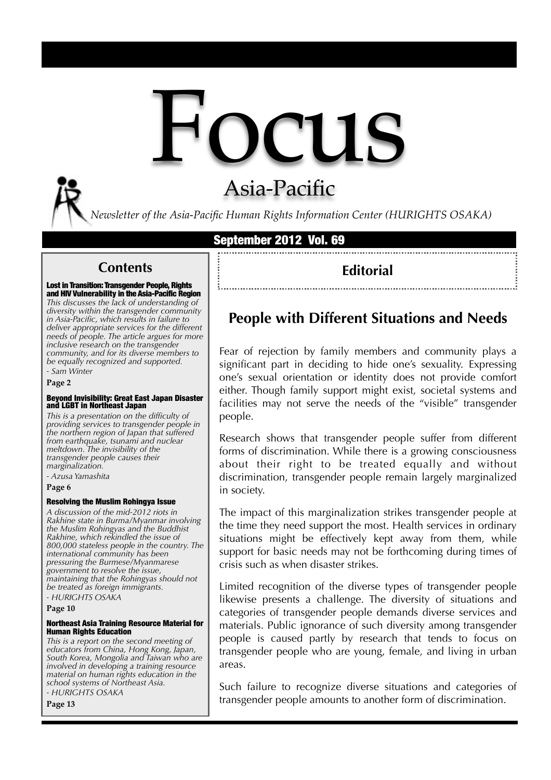

# Asia-Pacific

*Newsletter of the Asia-Pacific Human Rights Information Center (HURIGHTS OSAKA)*

### September 2012 Vol. 69

### **Contents**

Lost in Transition: Transgender People, Rights and HIV Vulnerability in the Asia-Pacific Region *This discusses the lack of understanding of diversity within the transgender community in Asia-Pacific, which results in failure to deliver appropriate services for the different needs of people. The article argues for more inclusive research on the transgender community, and for its diverse members to be equally recognized and supported. - Sam Winter*

**Page 2**

# Beyond Invisibility: Great East Japan Disaster and LGBT in Northeast Japan

*This is a presentation on the difficulty of providing services to transgender people in the northern region of Japan that suffered from earthquake, tsunami and nuclear meltdown. The invisibility of the transgender people causes their marginalization. - Azusa Yamashita*

**Page 6**

#### Resolving the Muslim Rohingya Issue

*A discussion of the mid-2012 riots in Rakhine state in Burma/Myanmar involving the Muslim Rohingyas and the Buddhist Rakhine, which rekindled the issue of 800,000 stateless people in the country. The international community has been pressuring the Burmese/Myanmarese government to resolve the issue, maintaining that the Rohingyas should not be treated as foreign immigrants. - HURIGHTS OSAKA*

**Page 10** 

#### Northeast Asia Training Resource Material for Human Rights Education

*This is a report on the second meeting of educators from China, Hong Kong, Japan, South Korea, Mongolia and Taiwan who are involved in developing a training resource material on human rights education in the school systems of Northeast Asia. - HURIGHTS OSAKA*

**Page 13**

### **Editorial**

## **People with Different Situations and Needs**

Fear of rejection by family members and community plays a significant part in deciding to hide one's sexuality. Expressing one's sexual orientation or identity does not provide comfort either. Though family support might exist, societal systems and facilities may not serve the needs of the "visible" transgender people.

Research shows that transgender people suffer from different forms of discrimination. While there is a growing consciousness about their right to be treated equally and without discrimination, transgender people remain largely marginalized in society.

The impact of this marginalization strikes transgender people at the time they need support the most. Health services in ordinary situations might be effectively kept away from them, while support for basic needs may not be forthcoming during times of crisis such as when disaster strikes.

Limited recognition of the diverse types of transgender people likewise presents a challenge. The diversity of situations and categories of transgender people demands diverse services and materials. Public ignorance of such diversity among transgender people is caused partly by research that tends to focus on transgender people who are young, female, and living in urban areas.

Such failure to recognize diverse situations and categories of transgender people amounts to another form of discrimination.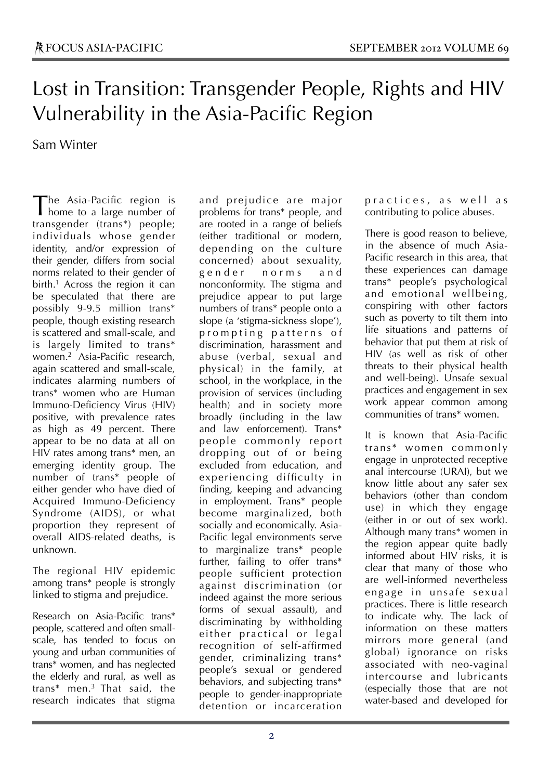# Lost in Transition: Transgender People, Rights and HIV Vulnerability in the Asia-Pacific Region

Sam Winter

he Asia-Pacific region is The Asia-Pacific region is<br>home to a large number of transgender (trans\*) people; individuals whose gender identity, and/or expression of their gender, differs from social norms related to their gender of birth.<sup>1</sup> Across the region it can be speculated that there are possibly 9-9.5 million trans\* people, though existing research is scattered and small-scale, and is largely limited to trans\* women.2 Asia-Pacific research, again scattered and small-scale, indicates alarming numbers of trans\* women who are Human Immuno-Deficiency Virus (HIV) positive, with prevalence rates as high as 49 percent. There appear to be no data at all on HIV rates among trans\* men, an emerging identity group. The number of trans\* people of either gender who have died of Acquired Immuno-Deficiency Syndrome (AIDS), or what proportion they represent of overall AIDS-related deaths, is unknown.

The regional HIV epidemic among trans\* people is strongly linked to stigma and prejudice.

Research on Asia-Pacific trans\* people, scattered and often smallscale, has tended to focus on young and urban communities of trans\* women, and has neglected the elderly and rural, as well as trans\* men.3 That said, the research indicates that stigma and prejudice are major problems for trans\* people, and are rooted in a range of beliefs (either traditional or modern, depending on the culture concerned) about sexuality, gender norms and nonconformity. The stigma and prejudice appear to put large numbers of trans\* people onto a slope (a 'stigma-sickness slope'), prompting patterns of discrimination, harassment and abuse (verbal, sexual and physical) in the family, at school, in the workplace, in the provision of services (including health) and in society more broadly (including in the law and law enforcement). Trans\* people commonly report dropping out of or being excluded from education, and experiencing difficulty in finding, keeping and advancing in employment. Trans\* people become marginalized, both socially and economically. Asia-Pacific legal environments serve to marginalize trans\* people further, failing to offer trans\* people sufficient protection against discrimination (or indeed against the more serious forms of sexual assault), and discriminating by withholding either practical or legal recognition of self-affirmed gender, criminalizing trans\* people's sexual or gendered behaviors, and subjecting trans\* people to gender-inappropriate detention or incarceration

practices, as well as contributing to police abuses.

There is good reason to believe, in the absence of much Asia-Pacific research in this area, that these experiences can damage trans\* people's psychological and emotional wellbeing, conspiring with other factors such as poverty to tilt them into life situations and patterns of behavior that put them at risk of HIV (as well as risk of other threats to their physical health and well-being). Unsafe sexual practices and engagement in sex work appear common among communities of trans\* women.

It is known that Asia-Pacific trans\* women commonly engage in unprotected receptive anal intercourse (URAI), but we know little about any safer sex behaviors (other than condom use) in which they engage (either in or out of sex work). Although many trans\* women in the region appear quite badly informed about HIV risks, it is clear that many of those who are well-informed nevertheless engage in unsafe sexual practices. There is little research to indicate why. The lack of information on these matters mirrors more general (and global) ignorance on risks associated with neo-vaginal intercourse and lubricants (especially those that are not water-based and developed for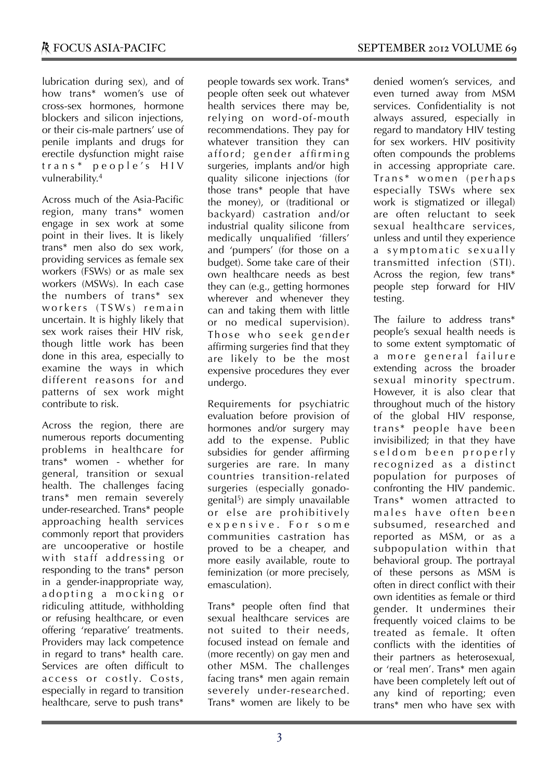lubrication during sex), and of how trans\* women's use of cross-sex hormones, hormone blockers and silicon injections, or their cis-male partners' use of penile implants and drugs for erectile dysfunction might raise  $trans*$  people's  $HIV$ vulnerability. 4

Across much of the Asia-Pacific region, many trans\* women engage in sex work at some point in their lives. It is likely trans\* men also do sex work, providing services as female sex workers (FSWs) or as male sex workers (MSWs). In each case the numbers of trans\* sex workers (TSWs) remain uncertain. It is highly likely that sex work raises their HIV risk, though little work has been done in this area, especially to examine the ways in which different reasons for and patterns of sex work might contribute to risk.

Across the region, there are numerous reports documenting problems in healthcare for trans\* women - whether for general, transition or sexual health. The challenges facing trans\* men remain severely under-researched. Trans\* people approaching health services commonly report that providers are uncooperative or hostile with staff addressing or responding to the trans\* person in a gender-inappropriate way, adopting a mocking or ridiculing attitude, withholding or refusing healthcare, or even offering 'reparative' treatments. Providers may lack competence in regard to trans\* health care. Services are often difficult to access or costly. Costs, especially in regard to transition healthcare, serve to push trans\*

people towards sex work. Trans\* people often seek out whatever health services there may be, relying on word-of-mouth recommendations. They pay for whatever transition they can afford; gender affirming surgeries, implants and/or high quality silicone injections (for those trans\* people that have the money), or (traditional or backyard) castration and/or industrial quality silicone from medically unqualified 'fillers' and 'pumpers' (for those on a budget). Some take care of their own healthcare needs as best they can (e.g., getting hormones wherever and whenever they can and taking them with little or no medical supervision). Those who seek gender affirming surgeries find that they are likely to be the most expensive procedures they ever undergo.

Requirements for psychiatric evaluation before provision of hormones and/or surgery may add to the expense. Public subsidies for gender affirming surgeries are rare. In many countries transition-related surgeries (especially gonadogenital5) are simply unavailable or else are prohibitively expensive. For some communities castration has proved to be a cheaper, and more easily available, route to feminization (or more precisely, emasculation).

Trans\* people often find that sexual healthcare services are not suited to their needs, focused instead on female and (more recently) on gay men and other MSM. The challenges facing trans\* men again remain severely under-researched. Trans\* women are likely to be denied women's services, and even turned away from MSM services. Confidentiality is not always assured, especially in regard to mandatory HIV testing for sex workers. HIV positivity often compounds the problems in accessing appropriate care. Trans\* women (perhaps especially TSWs where sex work is stigmatized or illegal) are often reluctant to seek sexual healthcare services, unless and until they experience a symptomatic sexually transmitted infection (STI). Across the region, few trans\* people step forward for HIV testing.

The failure to address trans\* people's sexual health needs is to some extent symptomatic of a more general failure extending across the broader sexual minority spectrum. However, it is also clear that throughout much of the history of the global HIV response, trans\* people have been invisibilized; in that they have seldom been properly recognized as a distinct population for purposes of confronting the HIV pandemic. Trans\* women attracted to males have often been subsumed, researched and reported as MSM, or as a subpopulation within that behavioral group. The portrayal of these persons as MSM is often in direct conflict with their own identities as female or third gender. It undermines their frequently voiced claims to be treated as female. It often conflicts with the identities of their partners as heterosexual, or 'real men'. Trans\* men again have been completely left out of any kind of reporting; even trans\* men who have sex with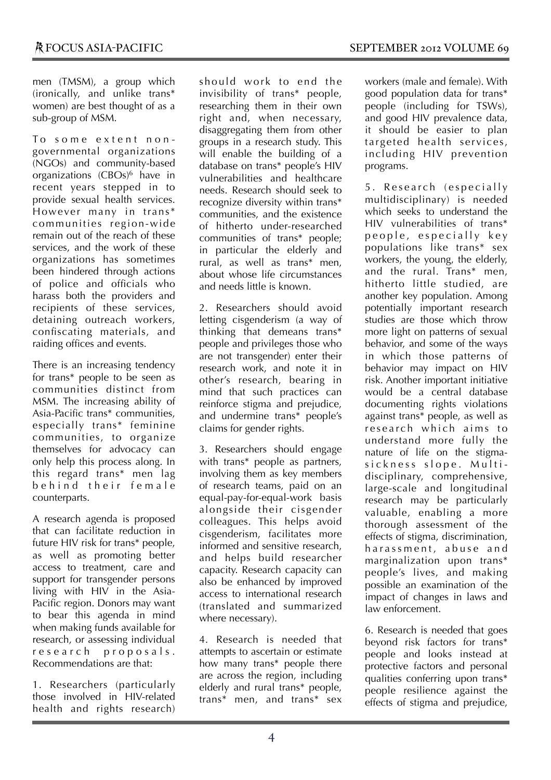men (TMSM), a group which (ironically, and unlike trans\* women) are best thought of as a sub-group of MSM.

To some extent nongovernmental organizations (NGOs) and community-based organizations (CBOs)<sup>6</sup> have in recent years stepped in to provide sexual health services. However many in trans\* communities region-wide remain out of the reach of these services, and the work of these organizations has sometimes been hindered through actions of police and officials who harass both the providers and recipients of these services, detaining outreach workers, confiscating materials, and raiding offices and events.

There is an increasing tendency for trans\* people to be seen as communities distinct from MSM. The increasing ability of Asia-Pacific trans\* communities, especially trans\* feminine communities, to organize themselves for advocacy can only help this process along. In this regard trans\* men lag behind their female counterparts.

A research agenda is proposed that can facilitate reduction in future HIV risk for trans\* people, as well as promoting better access to treatment, care and support for transgender persons living with HIV in the Asia-Pacific region. Donors may want to bear this agenda in mind when making funds available for research, or assessing individual r e s e a r c h p r o p o s a l s. Recommendations are that:

1. Researchers (particularly those involved in HIV-related health and rights research) should work to end the invisibility of trans\* people, researching them in their own right and, when necessary, disaggregating them from other groups in a research study. This will enable the building of a database on trans\* people's HIV vulnerabilities and healthcare needs. Research should seek to recognize diversity within trans\* communities, and the existence of hitherto under-researched communities of trans\* people; in particular the elderly and rural, as well as trans\* men, about whose life circumstances and needs little is known.

2. Researchers should avoid letting cisgenderism (a way of thinking that demeans trans\* people and privileges those who are not transgender) enter their research work, and note it in other's research, bearing in mind that such practices can reinforce stigma and prejudice, and undermine trans\* people's claims for gender rights.

3. Researchers should engage with trans<sup>\*</sup> people as partners, involving them as key members of research teams, paid on an equal-pay-for-equal-work basis alongside their cisgender colleagues. This helps avoid cisgenderism, facilitates more informed and sensitive research, and helps build researcher capacity. Research capacity can also be enhanced by improved access to international research (translated and summarized where necessary).

4. Research is needed that attempts to ascertain or estimate how many trans\* people there are across the region, including elderly and rural trans\* people, trans\* men, and trans\* sex

workers (male and female). With good population data for trans\* people (including for TSWs), and good HIV prevalence data, it should be easier to plan targeted health services, including HIV prevention programs.

5. Research (especially multidisciplinary) is needed which seeks to understand the HIV vulnerabilities of trans\* people, especially key populations like trans\* sex workers, the young, the elderly, and the rural. Trans\* men, hitherto little studied, are another key population. Among potentially important research studies are those which throw more light on patterns of sexual behavior, and some of the ways in which those patterns of behavior may impact on HIV risk. Another important initiative would be a central database documenting rights violations against trans\* people, as well as re search which aims to understand more fully the nature of life on the stigmasickness slope. Multidisciplinary, comprehensive, large-scale and longitudinal research may be particularly valuable, enabling a more thorough assessment of the effects of stigma, discrimination, harassment, abuse and marginalization upon trans\* people's lives, and making possible an examination of the impact of changes in laws and law enforcement.

6. Research is needed that goes beyond risk factors for trans\* people and looks instead at protective factors and personal qualities conferring upon trans\* people resilience against the effects of stigma and prejudice,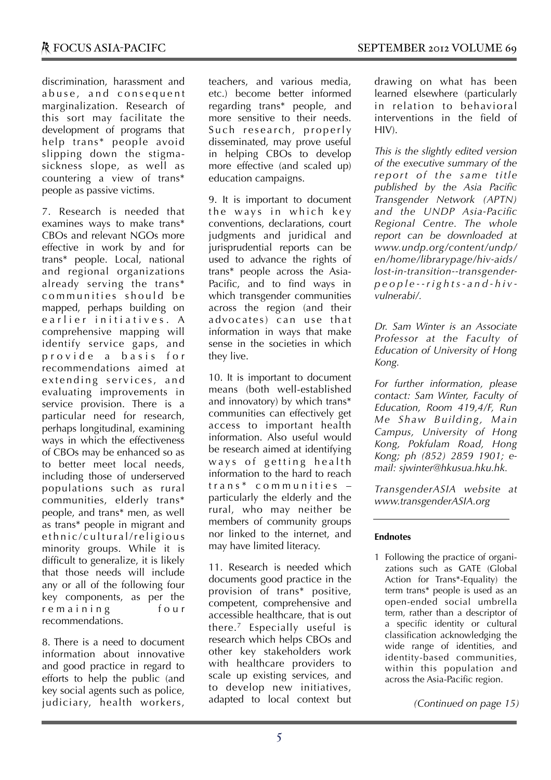discrimination, harassment and abuse, and consequent marginalization. Research of this sort may facilitate the development of programs that help trans\* people avoid slipping down the stigmasickness slope, as well as countering a view of trans\* people as passive victims.

7. Research is needed that examines ways to make trans\* CBOs and relevant NGOs more effective in work by and for trans\* people. Local, national and regional organizations already serving the trans\* communities should be mapped, perhaps building on e arlier initiatives. A comprehensive mapping will identify service gaps, and provide a basis for recommendations aimed at extending services, and evaluating improvements in service provision. There is a particular need for research, perhaps longitudinal, examining ways in which the effectiveness of CBOs may be enhanced so as to better meet local needs, including those of underserved populations such as rural communities, elderly trans\* people, and trans\* men, as well as trans\* people in migrant and e thnic/cultural/religious minority groups. While it is difficult to generalize, it is likely that those needs will include any or all of the following four key components, as per the r e maining four recommendations.

8. There is a need to document information about innovative and good practice in regard to efforts to help the public (and key social agents such as police, judiciary, health workers, teachers, and various media, etc.) become better informed regarding trans\* people, and more sensitive to their needs. Such research, properly disseminated, may prove useful in helping CBOs to develop more effective (and scaled up) education campaigns.

9. It is important to document the ways in which key conventions, declarations, court judgments and juridical and jurisprudential reports can be used to advance the rights of trans\* people across the Asia-Pacific, and to find ways in which transgender communities across the region (and their advocates) can use that information in ways that make sense in the societies in which they live.

10. It is important to document means (both well-established and innovatory) by which trans\* communities can effectively get access to important health information. Also useful would be research aimed at identifying ways of getting health information to the hard to reach  $trans*$  communities  $$ particularly the elderly and the rural, who may neither be members of community groups nor linked to the internet, and may have limited literacy.

11. Research is needed which documents good practice in the provision of trans\* positive, competent, comprehensive and accessible healthcare, that is out there.7 Especially useful is research which helps CBOs and other key stakeholders work with healthcare providers to scale up existing services, and to develop new initiatives, adapted to local context but

drawing on what has been learned elsewhere (particularly in relation to behavioral interventions in the field of  $HIV$ ).

*This is the slightly edited version of the executive summary of the r eport of the s ame titl e published by the Asia Pacific Transgender Network (APTN) and the UNDP Asia-Pacific Regional Centre. The whole report can be downloaded at www.undp.org/content/undp/ en/home/librarypage/hiv-aids/ lost-in-transition--transgenderp e o p l e - - r i g h t s - a n d - h i v vulnerabi/.*

*Dr. Sam Winter is an Associate Professor at the Faculty of Education of University of Hong Kong.*

*For further information, please contact: Sam Winter, Faculty of Education, Room 419,4/F, Run Me Shaw Building, Main Campus, University of Hong Kong, Pokfulam Road, Hong Kong; ph (852) 2859 1901; email: sjwinter@hkusua.hku.hk.*

*TransgenderASIA website at www.transgenderASIA.org*

#### **Endnotes**

1 Following the practice of organizations such as GATE (Global Action for Trans\*-Equality) the term trans\* people is used as an open-ended social umbrella term, rather than a descriptor of a specific identity or cultural classification acknowledging the wide range of identities, and identity-based communities, within this population and across the Asia-Pacific region.

*(Continued on page 15)*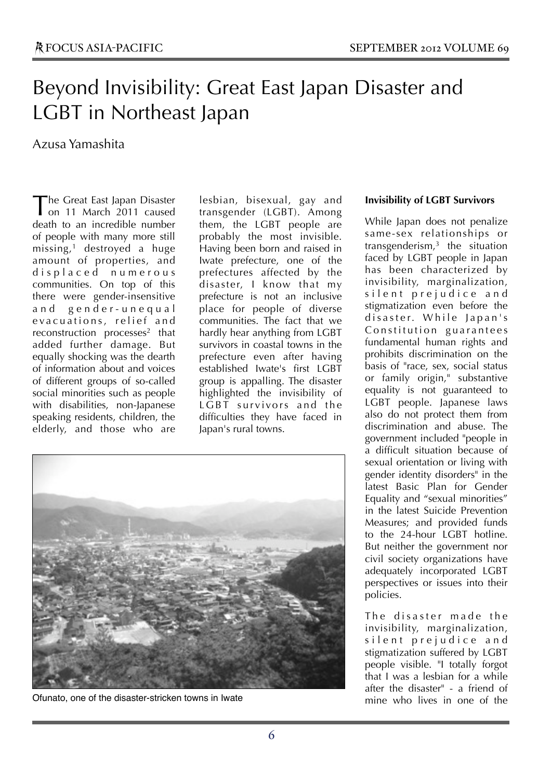# Beyond Invisibility: Great East Japan Disaster and LGBT in Northeast Japan

### Azusa Yamashita

he Great East Japan Disaster The Great East Japan Disaster<br>
on 11 March 2011 caused<br>
Williams death to an incredible number of people with many more still missing,1 destroyed a huge amount of properties, and d i s p l a c e d n u m e r o u s communities. On top of this there were gender-insensitive a n d g e n d e r - u n e q u a l evacuations, relief and reconstruction processes<sup>2</sup> that added further damage. But equally shocking was the dearth of information about and voices of different groups of so-called social minorities such as people with disabilities, non-Japanese speaking residents, children, the elderly, and those who are

lesbian, bisexual, gay and transgender (LGBT). Among them, the LGBT people are probably the most invisible. Having been born and raised in Iwate prefecture, one of the prefectures affected by the disaster, I know that my prefecture is not an inclusive place for people of diverse communities. The fact that we hardly hear anything from LGBT survivors in coastal towns in the prefecture even after having established Iwate's first LGBT group is appalling. The disaster highlighted the invisibility of LGBT survivors and the difficulties they have faced in Japan's rural towns.



Ofunato, one of the disaster-stricken towns in Iwate

### **Invisibility of LGBT Survivors**

While Japan does not penalize same-sex relationships or transgenderism, <sup>3</sup> the situation faced by LGBT people in Japan has been characterized by invisibility, marginalization, silent prejudice and stigmatization even before the disaster. While Japan's Constitution guarantees fundamental human rights and prohibits discrimination on the basis of "race, sex, social status or family origin," substantive equality is not guaranteed to LGBT people. Japanese laws also do not protect them from discrimination and abuse. The government included "people in a difficult situation because of sexual orientation or living with gender identity disorders" in the latest Basic Plan for Gender Equality and "sexual minorities" in the latest Suicide Prevention Measures; and provided funds to the 24-hour LGBT hotline. But neither the government nor civil society organizations have adequately incorporated LGBT perspectives or issues into their policies.

The disaster made the invisibility, marginalization, silent prejudice and stigmatization suffered by LGBT people visible. "I totally forgot that I was a lesbian for a while after the disaster" - a friend of mine who lives in one of the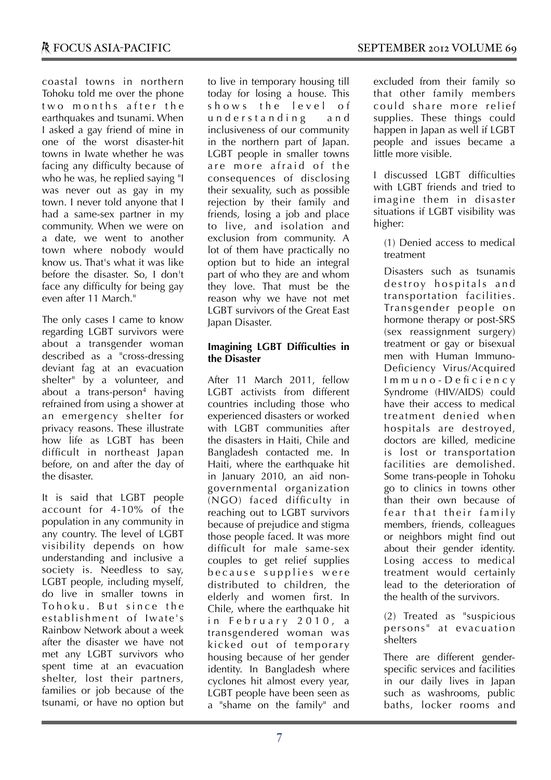coastal towns in northern Tohoku told me over the phone two months after the earthquakes and tsunami. When I asked a gay friend of mine in one of the worst disaster-hit towns in Iwate whether he was facing any difficulty because of who he was, he replied saying "I was never out as gay in my town. I never told anyone that I had a same-sex partner in my community. When we were on a date, we went to another town where nobody would know us. That's what it was like before the disaster. So, I don't face any difficulty for being gay even after 11 March."

The only cases I came to know regarding LGBT survivors were about a transgender woman described as a "cross-dressing deviant fag at an evacuation shelter" by a volunteer, and about a trans-person<sup>4</sup> having refrained from using a shower at an emergency shelter for privacy reasons. These illustrate how life as LGBT has been difficult in northeast Japan before, on and after the day of the disaster.

It is said that LGBT people account for 4-10% of the population in any community in any country. The level of LGBT visibility depends on how understanding and inclusive a society is. Needless to say, LGBT people, including myself, do live in smaller towns in To hoku. But since the establishment of Iwate's Rainbow Network about a week after the disaster we have not met any LGBT survivors who spent time at an evacuation shelter, lost their partners, families or job because of the tsunami, or have no option but

to live in temporary housing till today for losing a house. This shows the level of u n d e r s t a n d i n g a n d inclusiveness of our community in the northern part of Japan. LGBT people in smaller towns are more afraid of the consequences of disclosing their sexuality, such as possible rejection by their family and friends, losing a job and place to live, and isolation and exclusion from community. A lot of them have practically no option but to hide an integral part of who they are and whom they love. That must be the reason why we have not met LGBT survivors of the Great East Japan Disaster.

### **Imagining LGBT Difficulties in the Disaster**

After 11 March 2011, fellow LGBT activists from different countries including those who experienced disasters or worked with LGBT communities after the disasters in Haiti, Chile and Bangladesh contacted me. In Haiti, where the earthquake hit in January 2010, an aid nongovernmental organization (NGO) faced difficulty in reaching out to LGBT survivors because of prejudice and stigma those people faced. It was more difficult for male same-sex couples to get relief supplies because supplies were distributed to children, the elderly and women first. In Chile, where the earthquake hit in February 2010, a transgendered woman was kicked out of temporary housing because of her gender identity. In Bangladesh where cyclones hit almost every year, LGBT people have been seen as a "shame on the family" and excluded from their family so that other family members could share more relief supplies. These things could happen in Japan as well if LGBT people and issues became a little more visible.

I discussed LGBT difficulties with LGBT friends and tried to imagine them in disaster situations if LGBT visibility was higher:

(1) Denied access to medical treatment

Disasters such as tsunamis destroy hospitals and transportation facilities. Transgender people on hormone therapy or post-SRS (sex reassignment surgery) treatment or gay or bisexual men with Human Immuno-Deficiency Virus/Acquired I m m u n o - D e fi c i e n c y Syndrome (HIV/AIDS) could have their access to medical treatment denied when hospitals are destroyed, doctors are killed, medicine is lost or transportation facilities are demolished. Some trans-people in Tohoku go to clinics in towns other than their own because of fear that their family members, friends, colleagues or neighbors might find out about their gender identity. Losing access to medical treatment would certainly lead to the deterioration of the health of the survivors.

(2) Treated as "suspicious persons" at evacuation shelters

There are different genderspecific services and facilities in our daily lives in Japan such as washrooms, public baths, locker rooms and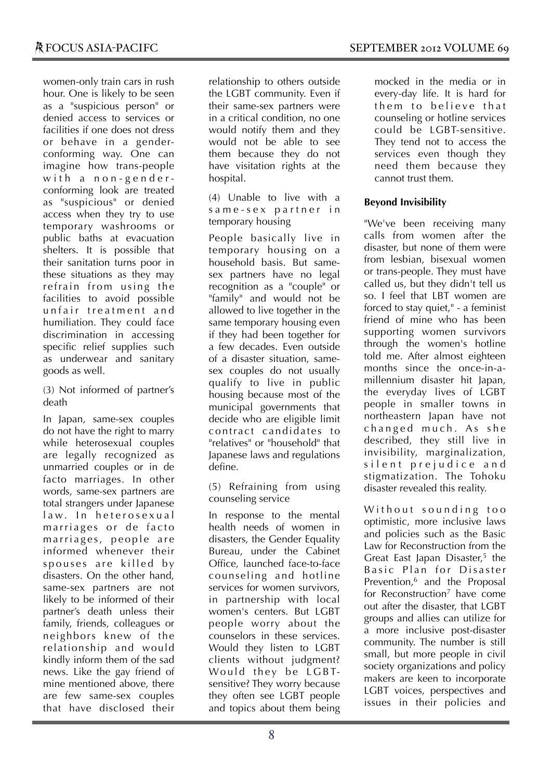women-only train cars in rush hour. One is likely to be seen as a "suspicious person" or denied access to services or facilities if one does not dress or behave in a genderconforming way. One can imagine how trans-people with a non-genderconforming look are treated as "suspicious" or denied access when they try to use temporary washrooms or public baths at evacuation shelters. It is possible that their sanitation turns poor in these situations as they may refrain from using the facilities to avoid possible unfair treatment and humiliation. They could face discrimination in accessing specific relief supplies such as underwear and sanitary goods as well.

#### (3) Not informed of partner's death

In Japan, same-sex couples do not have the right to marry while heterosexual couples are legally recognized as unmarried couples or in de facto marriages. In other words, same-sex partners are total strangers under Japanese law. In heterosexual marriages or de facto marriages, people are informed whenever their spouses are killed by disasters. On the other hand, same-sex partners are not likely to be informed of their partner's death unless their family, friends, colleagues or neighbors knew of the relationship and would kindly inform them of the sad news. Like the gay friend of mine mentioned above, there are few same-sex couples that have disclosed their

relationship to others outside the LGBT community. Even if their same-sex partners were in a critical condition, no one would notify them and they would not be able to see them because they do not have visitation rights at the hospital.

(4) Unable to live with a same-sex partner in temporary housing

People basically live in temporary housing on a household basis. But samesex partners have no legal recognition as a "couple" or "family" and would not be allowed to live together in the same temporary housing even if they had been together for a few decades. Even outside of a disaster situation, samesex couples do not usually qualify to live in public housing because most of the municipal governments that decide who are eligible limit contract candidates to "relatives" or "household" that Japanese laws and regulations define.

(5) Refraining from using counseling service

In response to the mental health needs of women in disasters, the Gender Equality Bureau, under the Cabinet Office, launched face-to-face counseling and hotline services for women survivors, in partnership with local women's centers. But LGBT people worry about the counselors in these services. Would they listen to LGBT clients without judgment? Would they be LGBTsensitive? They worry because they often see LGBT people and topics about them being mocked in the media or in every-day life. It is hard for them to believe that counseling or hotline services could be LGBT-sensitive. They tend not to access the services even though they need them because they cannot trust them.

### **Beyond Invisibility**

"We've been receiving many calls from women after the disaster, but none of them were from lesbian, bisexual women or trans-people. They must have called us, but they didn't tell us so. I feel that LBT women are forced to stay quiet," - a feminist friend of mine who has been supporting women survivors through the women's hotline told me. After almost eighteen months since the once-in-amillennium disaster hit Japan, the everyday lives of LGBT people in smaller towns in northeastern Japan have not changed much. As she described, they still live in invisibility, marginalization, silent prejudice and stigmatization. The Tohoku disaster revealed this reality.

Without sounding too optimistic, more inclusive laws and policies such as the Basic Law for Reconstruction from the Great East Japan Disaster, <sup>5</sup> the Basic Plan for Disaster Prevention,<sup>6</sup> and the Proposal for Reconstruction<sup>7</sup> have come out after the disaster, that LGBT groups and allies can utilize for a more inclusive post-disaster community. The number is still small, but more people in civil society organizations and policy makers are keen to incorporate LGBT voices, perspectives and issues in their policies and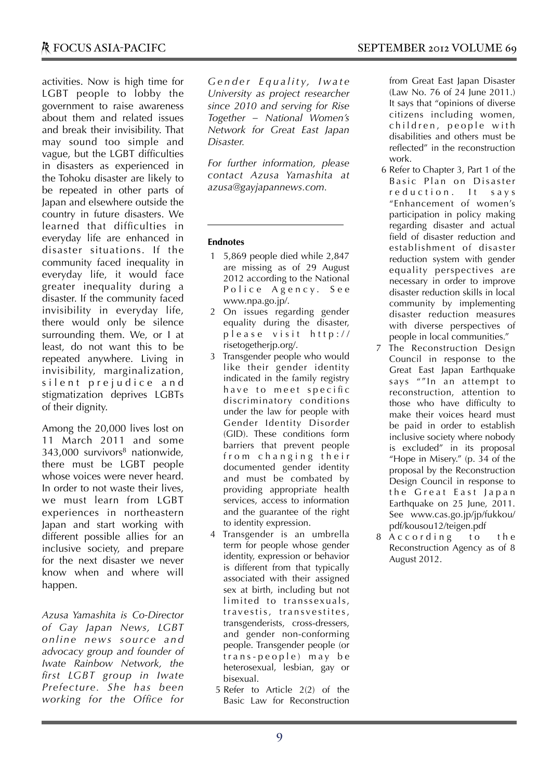activities. Now is high time for LGBT people to lobby the government to raise awareness about them and related issues and break their invisibility. That may sound too simple and vague, but the LGBT difficulties in disasters as experienced in the Tohoku disaster are likely to be repeated in other parts of Japan and elsewhere outside the country in future disasters. We learned that difficulties in everyday life are enhanced in disaster situations. If the community faced inequality in everyday life, it would face greater inequality during a disaster. If the community faced invisibility in everyday life, there would only be silence surrounding them. We, or I at least, do not want this to be repeated anywhere. Living in invisibility, marginalization, silent prejudice and stigmatization deprives LGBTs of their dignity.

Among the 20,000 lives lost on 11 March 2011 and some  $343,000$  survivors<sup>8</sup> nationwide, there must be LGBT people whose voices were never heard. In order to not waste their lives, we must learn from LGBT experiences in northeastern Japan and start working with different possible allies for an inclusive society, and prepare for the next disaster we never know when and where will happen.

*Azusa Yamashita is Co-Director of Gay Japan News, LGBT onl ine news sourc e and advocacy group and founder of Iwate Rainbow Network, the first LGBT group in Iwate Prefecture. She has been working for the Office for*  *G e n d e r E q u a l i t y, I w a t e University as project researcher since 2010 and serving for Rise Together – National Women's Network for Great East Japan Disaster.* 

*For further information, please contact Azusa Yamashita at azusa@gayjapannews.com.*

### **Endnotes**

- 1 5,869 people died while 2,847 are missing as of 29 August 2012 according to the National Police Agency, See www.npa.go.jp/.
- 2 On issues regarding gender equality during the disaster,  $p \mid e \land s \mid e \lor t \land t \mid t \mid t \mid p \mid t$ risetogetherjp.org/.
- 3 Transgender people who would like their gender identity indicated in the family registry have to meet specific discriminatory conditions under the law for people with Gender Identity Disorder (GID). These conditions form barriers that prevent people from changing their documented gender identity and must be combated by providing appropriate health services, access to information and the guarantee of the right to identity expression.
- 4 Transgender is an umbrella term for people whose gender identity, expression or behavior is different from that typically associated with their assigned sex at birth, including but not limited to transsexuals, travestis, transvestites, transgenderists, cross-dressers, and gender non-conforming people. Transgender people (or trans-people) may be heterosexual, lesbian, gay or bisexual.
- 5 Refer to Article 2(2) of the Basic Law for Reconstruction

from Great East Japan Disaster (Law No. 76 of 24 June 2011.) It says that "opinions of diverse citizens including women, children, people with disabilities and others must be reflected" in the reconstruction work.

- 6 Refer to Chapter 3, Part 1 of the Basic Plan on Disaster reduction. It says "Enhancement of women's participation in policy making regarding disaster and actual field of disaster reduction and establishment of disaster reduction system with gender equality perspectives are necessary in order to improve disaster reduction skills in local community by implementing disaster reduction measures with diverse perspectives of people in local communities."
- The Reconstruction Design Council in response to the Great East Japan Earthquake says ""In an attempt to reconstruction, attention to those who have difficulty to make their voices heard must be paid in order to establish inclusive society where nobody is excluded" in its proposal "Hope in Misery." (p. 34 of the proposal by the Reconstruction Design Council in response to the Great East lapan Earthquake on 25 June, 2011. See www.cas.go.jp/jp/fukkou/ pdf/kousou12/teigen.pdf
- 8 According to the Reconstruction Agency as of 8 August 2012.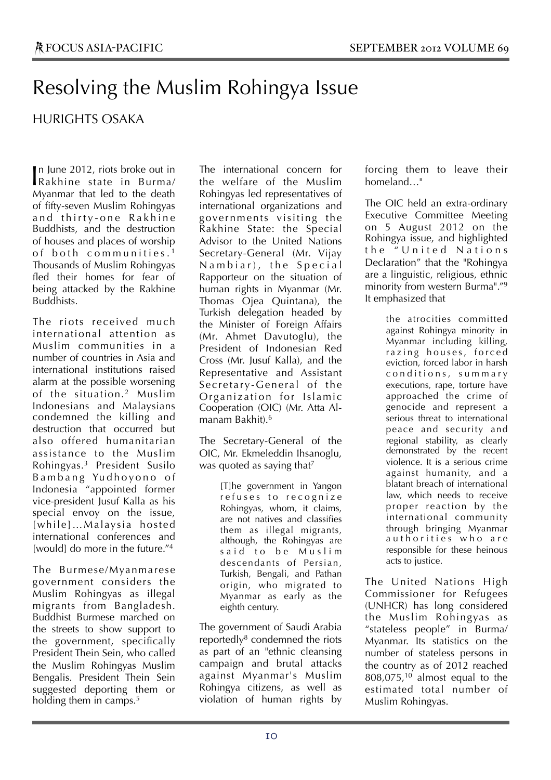# Resolving the Muslim Rohingya Issue

### HURIGHTS OSAKA

n June 2012, riots broke out in In June 2012, riots broke out in<br>Rakhine state in Burma/ Myanmar that led to the death of fifty-seven Muslim Rohingyas and thirty-one Rakhine Buddhists, and the destruction of houses and places of worship of both communities.<sup>1</sup> Thousands of Muslim Rohingyas fled their homes for fear of being attacked by the Rakhine Buddhists.

The riots received much international attention as Muslim communities in a number of countries in Asia and international institutions raised alarm at the possible worsening of the situation.2 Muslim Indonesians and Malaysians condemned the killing and destruction that occurred but also offered humanitarian assistance to the Muslim Rohingyas. <sup>3</sup> President Susilo Bambang Yudhoyono of Indonesia "appointed former vice-president Jusuf Kalla as his special envoy on the issue, [while]…Malaysia hosted international conferences and [would] do more in the future."<sup>4</sup>

The Burmese/Myanmarese government considers the Muslim Rohingyas as illegal migrants from Bangladesh. Buddhist Burmese marched on the streets to show support to the government, specifically President Thein Sein, who called the Muslim Rohingyas Muslim Bengalis. President Thein Sein suggested deporting them or holding them in camps.<sup>5</sup>

The international concern for the welfare of the Muslim Rohingyas led representatives of international organizations and gove rnments v isiting the Rakhine State: the Special Advisor to the United Nations Secretary-General (Mr. Vijay Nambiar), the Special Rapporteur on the situation of human rights in Myanmar (Mr. Thomas Ojea Quintana), the Turkish delegation headed by the Minister of Foreign Affairs (Mr. Ahmet Davutoglu), the President of Indonesian Red Cross (Mr. Jusuf Kalla), and the Representative and Assistant Secretary-General of the Organization for Islamic Cooperation (OIC) (Mr. Atta Almanam Bakhit).6

The Secretary-General of the OIC, Mr. Ekmeleddin Ihsanoglu, was quoted as saying that<sup>7</sup>

> [T]he government in Yangon refuses to recognize Rohingyas, whom, it claims, are not natives and classifies them as illegal migrants, although, the Rohingyas are said to be Muslim descendants of Persian, Turkish, Bengali, and Pathan origin, who migrated to Myanmar as early as the eighth century.

The government of Saudi Arabia reportedly $8$  condemned the riots as part of an "ethnic cleansing campaign and brutal attacks against Myanmar's Muslim Rohingya citizens, as well as violation of human rights by

forcing them to leave their homeland…"

The OIC held an extra-ordinary Executive Committee Meeting on 5 August 2012 on the Rohingya issue, and highlighted the "United Nations Declaration" that the "Rohingya are a linguistic, religious, ethnic minority from western Burma"."9 It emphasized that

> the atrocities committed against Rohingya minority in Myanmar including killing, razing houses, forced eviction, forced labor in harsh c o n d i t i o n s , s u m m a r y executions, rape, torture have approached the crime of genocide and represent a serious threat to international peace and security and regional stability, as clearly demonstrated by the recent violence. It is a serious crime against humanity, and a blatant breach of international law, which needs to receive proper reaction by the international community through bringing Myanmar authorities who are responsible for these heinous acts to justice.

The United Nations High Commissioner for Refugees (UNHCR) has long considered the Muslim Rohingyas as "stateless people" in Burma/ Myanmar. Its statistics on the number of stateless persons in the country as of 2012 reached 808,075,<sup>10</sup> almost equal to the estimated total number of Muslim Rohingyas.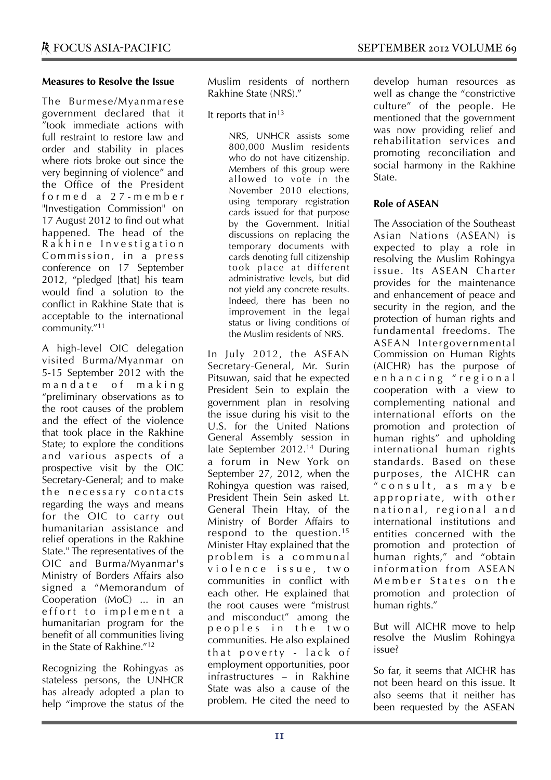### **Measures to Resolve the Issue**

The Burmese/Myanmarese government declared that it "took immediate actions with full restraint to restore law and order and stability in places where riots broke out since the very beginning of violence" and the Office of the President f o r m e d a 2 7 - m e m b e r "Investigation Commission" on 17 August 2012 to find out what happened. The head of the Rakhine Investigation Commission, in a press conference on 17 September 2012, "pledged [that] his team would find a solution to the conflict in Rakhine State that is acceptable to the international community."11

A high-level OIC delegation visited Burma/Myanmar on 5-15 September 2012 with the m and a te of making "preliminary observations as to the root causes of the problem and the effect of the violence that took place in the Rakhine State; to explore the conditions and various aspects of a prospective visit by the OIC Secretary-General; and to make the necessary contacts regarding the ways and means for the OIC to carry out humanitarian assistance and relief operations in the Rakhine State." The representatives of the OIC and Burma/Myanmar's Ministry of Borders Affairs also signed a "Memorandum of Cooperation (MoC) ... in an effort to implement a humanitarian program for the benefit of all communities living in the State of Rakhine."12

Recognizing the Rohingyas as stateless persons, the UNHCR has already adopted a plan to help "improve the status of the Muslim residents of northern Rakhine State (NRS)."

It reports that  $in<sup>13</sup>$ 

NRS, UNHCR assists some 800,000 Muslim residents who do not have citizenship. Members of this group were allowed to vote in the November 2010 elections, using temporary registration cards issued for that purpose by the Government. Initial discussions on replacing the temporary documents with cards denoting full citizenship took place at different administrative levels, but did not yield any concrete results. Indeed, there has been no improvement in the legal status or living conditions of the Muslim residents of NRS.

In July 2012, the ASEAN Secretary-General, Mr. Surin Pitsuwan, said that he expected President Sein to explain the government plan in resolving the issue during his visit to the U.S. for the United Nations General Assembly session in late September 2012.14 During a forum in New York on September 27, 2012, when the Rohingya question was raised, President Thein Sein asked Lt. General Thein Htay, of the Ministry of Border Affairs to respond to the question.15 Minister Htay explained that the problem is a communal v i o l e n c e i s s u e , t w o communities in conflict with each other. He explained that the root causes were "mistrust and misconduct" among the p e o p l e s i n t h e t w o communities. He also explained that poverty - lack of employment opportunities, poor infrastructures – in Rakhine State was also a cause of the problem. He cited the need to

develop human resources as well as change the "constrictive culture" of the people. He mentioned that the government was now providing relief and rehabilitation services and promoting reconciliation and social harmony in the Rakhine State.

### **Role of ASEAN**

The Association of the Southeast Asian Nations (ASEAN) is expected to play a role in resolving the Muslim Rohingya issue. Its ASEAN Charter provides for the maintenance and enhancement of peace and security in the region, and the protection of human rights and fundamental freedoms. The ASEAN Intergovernmental Commission on Human Rights (AICHR) has the purpose of enhancing "regional cooperation with a view to complementing national and international efforts on the promotion and protection of human rights" and upholding international human rights standards. Based on these purposes, the AICHR can  $^{\prime\prime}$  consult, as may be appropriate, with other national, regional and international institutions and entities concerned with the promotion and protection of human rights," and "obtain information from ASEAN Member States on the promotion and protection of human rights."

But will AICHR move to help resolve the Muslim Rohingya issue?

So far, it seems that AICHR has not been heard on this issue. It also seems that it neither has been requested by the ASEAN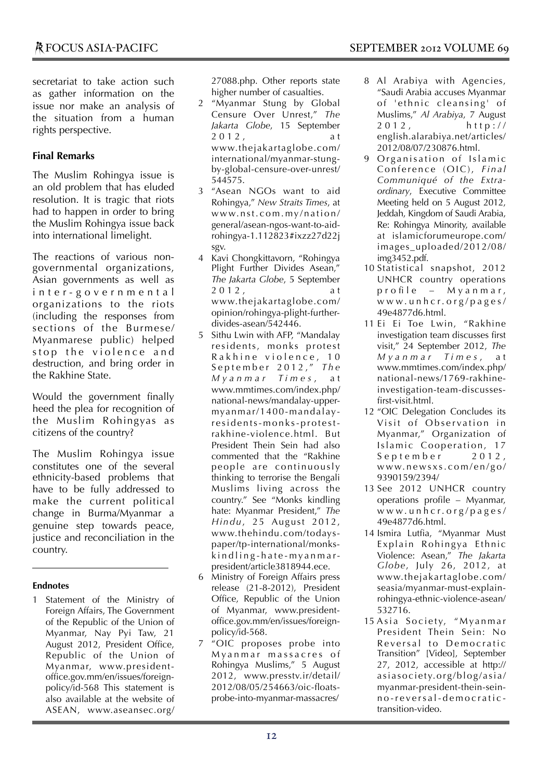### **Final Remarks**

The Muslim Rohingya issue is an old problem that has eluded resolution. It is tragic that riots had to happen in order to bring the Muslim Rohingya issue back into international limelight.

The reactions of various nongovernmental organizations, Asian governments as well as inter-governmental organizations to the riots (including the responses from sections of the Burmese/ Myanmarese public) helped stop the violence and destruction, and bring order in the Rakhine State.

Would the government finally heed the plea for recognition of the Muslim Rohingyas as citizens of the country?

The Muslim Rohingya issue constitutes one of the several ethnicity-based problems that have to be fully addressed to make the current political change in Burma/Myanmar a genuine step towards peace, justice and reconciliation in the country.

### **Endnotes**

1 Statement of the Ministry of Foreign Affairs, The Government of the Republic of the Union of Myanmar, Nay Pyi Taw, 21 August 2012, President Office, Republic of the Union of Myanmar, www.presidentoffice.gov.mm/en/issues/foreignpolicy/id-568 This statement is also available at the website of ASEAN, www.aseansec.org/

27088.php. Other reports state higher number of casualties.

- 2 "Myanmar Stung by Global Censure Over Unrest," *The Jakarta Globe*, 15 September 2 0 1 2 , a t www.thejakartaglobe.com/ international/myanmar-stungby-global-censure-over-unrest/ 544575.
- 3 "Asean NGOs want to aid Rohingya," *New Straits Times*, at www.nst.com.my/nation/ general/asean-ngos-want-to-aidrohingya-1.112823#ixzz27d22j sgv.
- 4 Kavi Chongkittavorn, "Rohingya Plight Further Divides Asean," *The Jakarta Globe*, 5 September  $2012$ www.thejakartaglobe.com/ opinion/rohingya-plight-furtherdivides-asean/542446.
- 5 Sithu Lwin with AFP, "Mandalay residents, monks protest Rakhine violence, 10 S e p t e m b e r 2 0 1 2 , " *T h e M y a n m a r T i m e s* , a t www.mmtimes.com/index.php/ national-news/mandalay-uppermyanmar/1400-mandalayr e si d e n ts- m o n k s- p r o t e strakhine-violence.html. But President Thein Sein had also commented that the "Rakhine people are continuously thinking to terrorise the Bengali Muslims living across the country." See "Monks kindling hate: Myanmar President," *The Hindu*, 25 August 2012, www.thehindu.com/todayspaper/tp-international/monkskindling-hate-myanmarpresident/article3818944.ece.
- 6 Ministry of Foreign Affairs press release (21-8-2012), President Office, Republic of the Union of Myanmar, www.presidentoffice.gov.mm/en/issues/foreignpolicy/id-568.
- 7 "OIC proposes probe into M y a n m a r m assacres of Rohingya Muslims," 5 August 2012, www.presstv.ir/detail/ 2012/08/05/254663/oic-floatsprobe-into-myanmar-massacres/
- 8 Al Arabiya with Agencies, "Saudi Arabia accuses Myanmar of 'ethnic cleansing' of Muslims," *Al Arabiya*, 7 August  $2012, http://$ english.alarabiya.net/articles/ 2012/08/07/230876.html.
- 9 Organisation of Islamic Conference (OIC), *Final Communiqué of the Extraordinary*, Executive Committee Meeting held on 5 August 2012, Jeddah, Kingdom of Saudi Arabia, Re: Rohingya Minority, available at islamicforumeurope.com/ images\_uploaded/2012/08/ img3452.pdf.
- 10 Statistical snapshot, 2012 UNHCR country operations p r o file  $-$  M y a n m a r, w w w. u n h c r. o r g / p a g e s / 49e4877d6.html.
- 11 Ei Ei Toe Lwin, "Rakhine investigation team discusses first visit," 24 September 2012, *The M y a n m a r T i m e s* , a t www.mmtimes.com/index.php/ national-news/1769-rakhineinvestigation-team-discussesfirst-visit.html.
- 12 "OIC Delegation Concludes its Visit of Observation in Myanmar," Organization of Islamic Cooperation, 17  $S$  e p t e m b e r  $2012$ , www.newsxs.com/en/go/ 9390159/2394/
- 13 See 2012 UNHCR country operations profile – Myanmar, w w w. u n h c r. o r g / p a g e s / 49e4877d6.html.
- 14 Ismira Lutfia, "Myanmar Must Explain Rohingya Ethnic Violence: Asean," *The Jakarta Globe*, July 26, 2012, at www.thejakartaglobe.com/ seasia/myanmar-must-explainrohingya-ethnic-violence-asean/ 532716.
- 15 Asia Society, "Myanmar President Thein Sein: No Reversal to Democratic Transition" [Video], September 27, 2012, accessible at http:// asiasociety.org/blog/asia/ myanmar-president-thein-seinn o -r e v e rs a l- d e m o c r a t i c transition-video.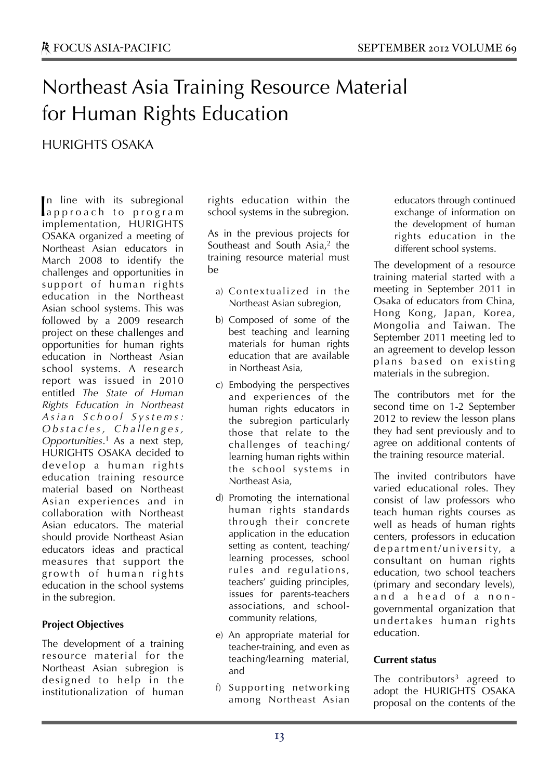# Northeast Asia Training Resource Material for Human Rights Education

HURIGHTS OSAKA

n line with its subregional In line with its subregional<br>approach to program implementation, HURIGHTS OSAKA organized a meeting of Northeast Asian educators in March 2008 to identify the challenges and opportunities in support of human rights education in the Northeast Asian school systems. This was followed by a 2009 research project on these challenges and opportunities for human rights education in Northeast Asian school systems. A research report was issued in 2010 entitled *The State of Human Rights Education in Northeast A s i a n S c h o o l S y s t e m s : O b st a c l e s, C h a l l e n g e s, Opportunities*. <sup>1</sup> As a next step, HURIGHTS OSAKA decided to develop a human rights education training resource material based on Northeast Asian experiences and in collaboration with Northeast Asian educators. The material should provide Northeast Asian educators ideas and practical measures that support the growth of human rights education in the school systems in the subregion.

### **Project Objectives**

The development of a training resource material for the Northeast Asian subregion is designed to help in the institutionalization of human

rights education within the school systems in the subregion.

As in the previous projects for Southeast and South Asia,<sup>2</sup> the training resource material must be

- a) Contextualized in the Northeast Asian subregion,
- b) Composed of some of the best teaching and learning materials for human rights education that are available in Northeast Asia,
- c) Embodying the perspectives and experiences of the human rights educators in the subregion particularly those that relate to the challenges of teaching/ learning human rights within the school systems in Northeast Asia,
- d) Promoting the international human rights standards through their concrete application in the education setting as content, teaching/ learning processes, school rules and regulations, teachers' guiding principles, issues for parents-teachers associations, and schoolcommunity relations,
- e) An appropriate material for teacher-training, and even as teaching/learning material, and
- f) Supporting networking among Northeast Asian

educators through continued exchange of information on the development of human rights education in the different school systems.

The development of a resource training material started with a meeting in September 2011 in Osaka of educators from China, Hong Kong, Japan, Korea, Mongolia and Taiwan. The September 2011 meeting led to an agreement to develop lesson plans based on existing materials in the subregion.

The contributors met for the second time on 1-2 September 2012 to review the lesson plans they had sent previously and to agree on additional contents of the training resource material.

The invited contributors have varied educational roles. They consist of law professors who teach human rights courses as well as heads of human rights centers, professors in education department/university, a consultant on human rights education, two school teachers (primary and secondary levels), and a head of a nongovernmental organization that undertakes human rights education.

### **Current status**

The contributors<sup>3</sup> agreed to adopt the HURIGHTS OSAKA proposal on the contents of the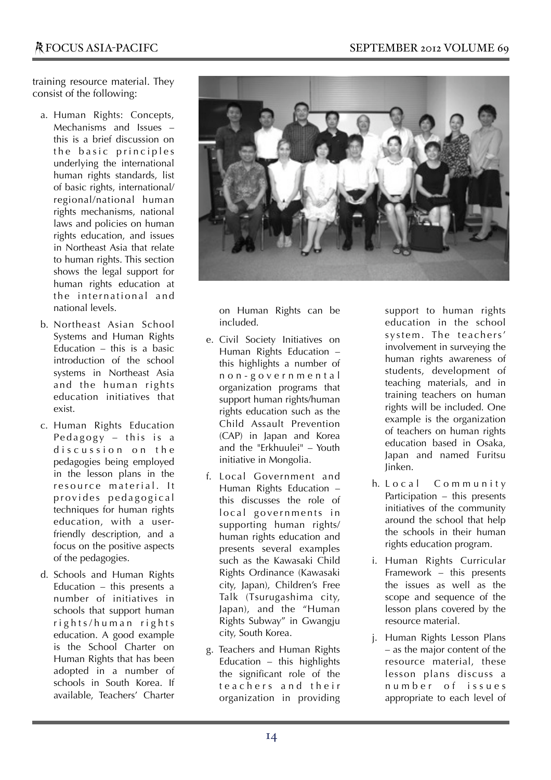training resource material. They consist of the following:

- a. Human Rights: Concepts, Mechanisms and Issues – this is a brief discussion on the basic principles underlying the international human rights standards, list of basic rights, international/ regional/national human rights mechanisms, national laws and policies on human rights education, and issues in Northeast Asia that relate to human rights. This section shows the legal support for human rights education at the international and national levels.
- b. Northeast Asian School Systems and Human Rights Education – this is a basic introduction of the school systems in Northeast Asia and the human rights education initiatives that exist.
- c. Human Rights Education Pedagogy  $-$  this is a discussion on the pedagogies being employed in the lesson plans in the resource material. It provides pedagogical techniques for human rights education, with a userfriendly description, and a focus on the positive aspects of the pedagogies.
- d. Schools and Human Rights Education – this presents a number of initiatives in schools that support human rights/human rights education. A good example is the School Charter on Human Rights that has been adopted in a number of schools in South Korea. If available, Teachers' Charter



on Human Rights can be included.

- e. Civil Society Initiatives on Human Rights Education – this highlights a number of n o n - g o v e r n m e n t a l organization programs that support human rights/human rights education such as the Child Assault Prevention (CAP) in Japan and Korea and the "Erkhuulei" – Youth initiative in Mongolia.
- f. Local Government and Human Rights Education – this discusses the role of local governments in supporting human rights/ human rights education and presents several examples such as the Kawasaki Child Rights Ordinance (Kawasaki city, Japan), Children's Free Talk (Tsurugashima city, Japan), and the "Human Rights Subway" in Gwangju city, South Korea.
- g. Teachers and Human Rights Education – this highlights the significant role of the teachers and their organization in providing

support to human rights education in the school system. The teachers' involvement in surveying the human rights awareness of students, development of teaching materials, and in training teachers on human rights will be included. One example is the organization of teachers on human rights education based in Osaka, Japan and named Furitsu Jinken.

- h. Local Community Participation – this presents initiatives of the community around the school that help the schools in their human rights education program.
- i. Human Rights Curricular Framework – this presents the issues as well as the scope and sequence of the lesson plans covered by the resource material.
- j. Human Rights Lesson Plans – as the major content of the resource material, these lesson plans discuss a number of issues appropriate to each level of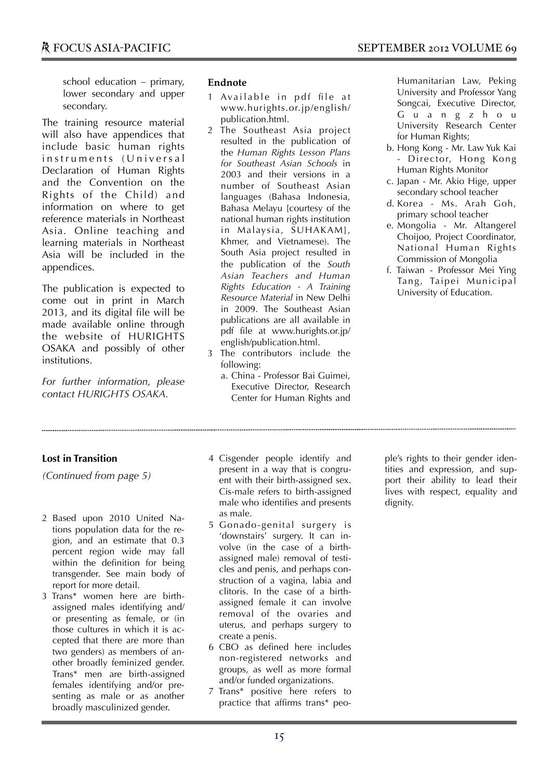school education – primary, lower secondary and upper secondary.

The training resource material will also have appendices that include basic human rights instruments (Universal Declaration of Human Rights and the Convention on the Rights of the Child) and information on where to get reference materials in Northeast Asia. Online teaching and learning materials in Northeast Asia will be included in the appendices.

The publication is expected to come out in print in March 2013, and its digital file will be made available online through the website of HURIGHTS OSAKA and possibly of other institutions.

*For further information, please contact HURIGHTS OSAKA.*

### **Endnote**

- 1 Available in pdf file at www.hurights.or.jp/english/ publication.html.
- 2 The Southeast Asia project resulted in the publication of the *Human Rights Lesson Plans for Southeast Asian Schools* in 2003 and their versions in a number of Southeast Asian languages (Bahasa Indonesia, Bahasa Melayu [courtesy of the national human rights institution in Malaysia, SUHAKAM], Khmer, and Vietnamese). The South Asia project resulted in the publication of the *South Asian Teachers and Human Rights Education - A Training Resource Material* in New Delhi in 2009. The Southeast Asian publications are all available in pdf file at www.hurights.or.jp/ english/publication.html.
- 3 The contributors include the following:
	- a. China Professor Bai Guimei, Executive Director, Research Center for Human Rights and

Humanitarian Law, Peking University and Professor Yang Songcai, Executive Director, G u a n g z h o u University Research Center for Human Rights;

- b. Hong Kong Mr. Law Yuk Kai - Director, Hong Kong Human Rights Monitor
- c. Japan Mr. Akio Hige, upper secondary school teacher
- d. Korea Ms. Arah Goh, primary school teacher
- e. Mongolia Mr. Altangerel Choijoo, Project Coordinator, National Human Rights Commission of Mongolia
- f. Taiwan Professor Mei Ying Tang, Taipei Municipal University of Education.

### **Lost in Transition**

*(Continued from page 5)*

- 2 Based upon 2010 United Nations population data for the region, and an estimate that 0.3 percent region wide may fall within the definition for being transgender. See main body of report for more detail.
- 3 Trans\* women here are birthassigned males identifying and/ or presenting as female, or (in those cultures in which it is accepted that there are more than two genders) as members of another broadly feminized gender. Trans\* men are birth-assigned females identifying and/or presenting as male or as another broadly masculinized gender.
- 4 Cisgender people identify and present in a way that is congruent with their birth-assigned sex. Cis-male refers to birth-assigned male who identifies and presents as male.
- 5 Gonado-genital surgery is 'downstairs' surgery. It can involve (in the case of a birthassigned male) removal of testicles and penis, and perhaps construction of a vagina, labia and clitoris. In the case of a birthassigned female it can involve removal of the ovaries and uterus, and perhaps surgery to create a penis.
- 6 CBO as defined here includes non-registered networks and groups, as well as more formal and/or funded organizations.
- 7 Trans\* positive here refers to practice that affirms trans\* peo-

ple's rights to their gender identities and expression, and support their ability to lead their lives with respect, equality and dignity.